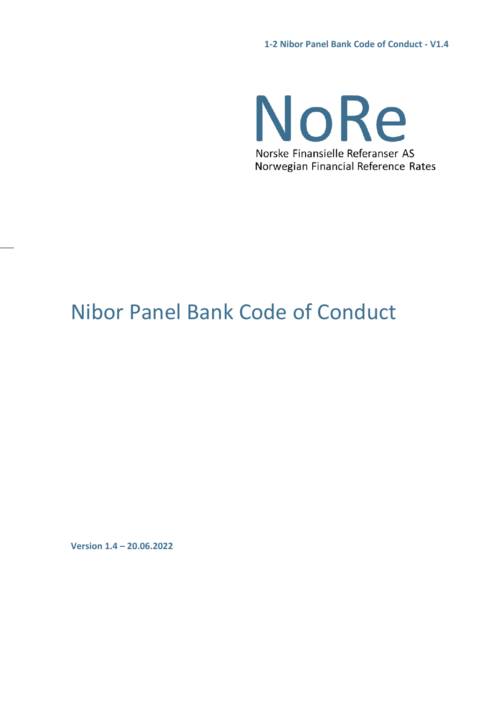NoRe Norske Finansielle Referanser AS Norwegian Financial Reference Rates

# Nibor Panel Bank Code of Conduct

**Version 1.4 – 20.06.2022**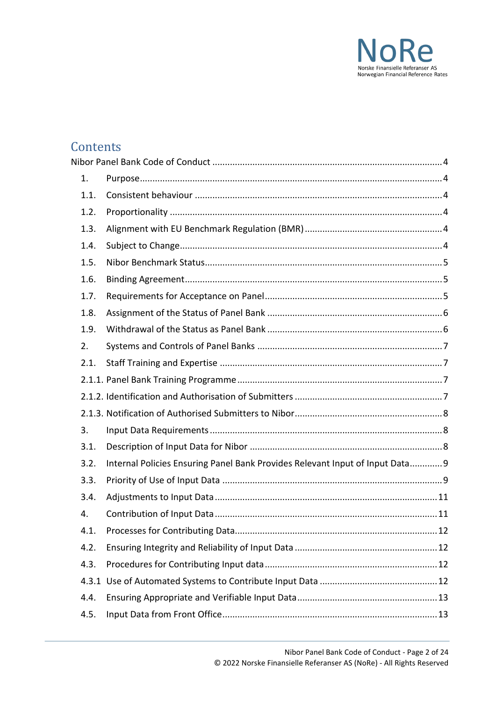

## **Contents**

| 1.   |                                                                               |  |
|------|-------------------------------------------------------------------------------|--|
| 1.1. |                                                                               |  |
| 1.2. |                                                                               |  |
| 1.3. |                                                                               |  |
| 1.4. |                                                                               |  |
| 1.5. |                                                                               |  |
| 1.6. |                                                                               |  |
| 1.7. |                                                                               |  |
| 1.8. |                                                                               |  |
| 1.9. |                                                                               |  |
| 2.   |                                                                               |  |
| 2.1. |                                                                               |  |
|      |                                                                               |  |
|      |                                                                               |  |
|      |                                                                               |  |
| 3.   |                                                                               |  |
| 3.1. |                                                                               |  |
| 3.2. | Internal Policies Ensuring Panel Bank Provides Relevant Input of Input Data 9 |  |
| 3.3. |                                                                               |  |
| 3.4. |                                                                               |  |
| 4.   |                                                                               |  |
| 4.1. |                                                                               |  |
| 4.2. |                                                                               |  |
| 4.3. |                                                                               |  |
|      |                                                                               |  |
| 4.4. |                                                                               |  |
| 4.5. |                                                                               |  |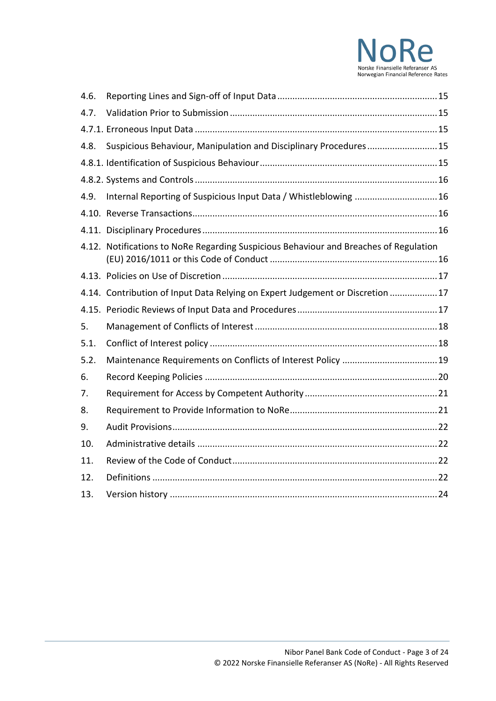

| 4.6. |                                                                                       |  |
|------|---------------------------------------------------------------------------------------|--|
| 4.7. |                                                                                       |  |
|      |                                                                                       |  |
| 4.8. | Suspicious Behaviour, Manipulation and Disciplinary Procedures 15                     |  |
|      |                                                                                       |  |
|      |                                                                                       |  |
| 4.9. | Internal Reporting of Suspicious Input Data / Whistleblowing  16                      |  |
|      |                                                                                       |  |
|      |                                                                                       |  |
|      | 4.12. Notifications to NoRe Regarding Suspicious Behaviour and Breaches of Regulation |  |
|      |                                                                                       |  |
|      | 4.14. Contribution of Input Data Relying on Expert Judgement or Discretion 17         |  |
|      |                                                                                       |  |
| 5.   |                                                                                       |  |
| 5.1. |                                                                                       |  |
| 5.2. |                                                                                       |  |
| 6.   |                                                                                       |  |
| 7.   |                                                                                       |  |
| 8.   |                                                                                       |  |
| 9.   |                                                                                       |  |
| 10.  |                                                                                       |  |
| 11.  |                                                                                       |  |
| 12.  |                                                                                       |  |
| 13.  |                                                                                       |  |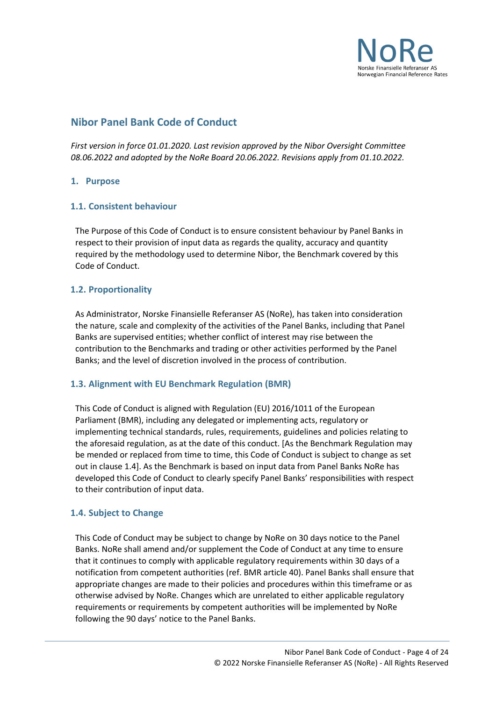

## <span id="page-3-0"></span>**Nibor Panel Bank Code of Conduct**

*First version in force 01.01.2020. Last revision approved by the Nibor Oversight Committee 08.06.2022 and adopted by the NoRe Board 20.06.2022. Revisions apply from 01.10.2022.*

## <span id="page-3-1"></span>**1. Purpose**

## <span id="page-3-2"></span>**1.1. Consistent behaviour**

The Purpose of this Code of Conduct is to ensure consistent behaviour by Panel Banks in respect to their provision of input data as regards the quality, accuracy and quantity required by the methodology used to determine Nibor, the Benchmark covered by this Code of Conduct.

## <span id="page-3-3"></span>**1.2. Proportionality**

As Administrator, Norske Finansielle Referanser AS (NoRe), has taken into consideration the nature, scale and complexity of the activities of the Panel Banks, including that Panel Banks are supervised entities; whether conflict of interest may rise between the contribution to the Benchmarks and trading or other activities performed by the Panel Banks; and the level of discretion involved in the process of contribution.

## <span id="page-3-4"></span>**1.3. Alignment with EU Benchmark Regulation (BMR)**

This Code of Conduct is aligned with Regulation (EU) 2016/1011 of the European Parliament (BMR), including any delegated or implementing acts, regulatory or implementing technical standards, rules, requirements, guidelines and policies relating to the aforesaid regulation, as at the date of this conduct. [As the Benchmark Regulation may be mended or replaced from time to time, this Code of Conduct is subject to change as set out in clause 1.4]. As the Benchmark is based on input data from Panel Banks NoRe has developed this Code of Conduct to clearly specify Panel Banks' responsibilities with respect to their contribution of input data.

## <span id="page-3-5"></span>**1.4. Subject to Change**

This Code of Conduct may be subject to change by NoRe on 30 days notice to the Panel Banks. NoRe shall amend and/or supplement the Code of Conduct at any time to ensure that it continues to comply with applicable regulatory requirements within 30 days of a notification from competent authorities (ref. BMR article 40). Panel Banks shall ensure that appropriate changes are made to their policies and procedures within this timeframe or as otherwise advised by NoRe. Changes which are unrelated to either applicable regulatory requirements or requirements by competent authorities will be implemented by NoRe following the 90 days' notice to the Panel Banks.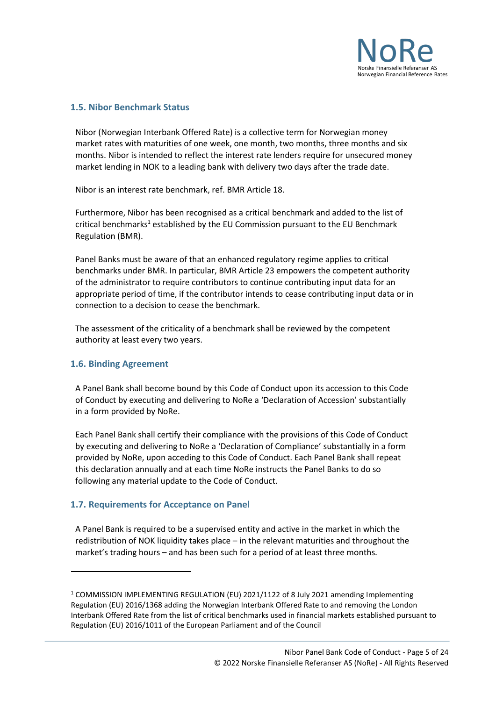

## <span id="page-4-0"></span>**1.5. Nibor Benchmark Status**

Nibor (Norwegian Interbank Offered Rate) is a collective term for Norwegian money market rates with maturities of one week, one month, two months, three months and six months. Nibor is intended to reflect the interest rate lenders require for unsecured money market lending in NOK to a leading bank with delivery two days after the trade date.

Nibor is an interest rate benchmark, ref. BMR Article 18.

Furthermore, Nibor has been recognised as a critical benchmark and added to the list of critical benchmarks<sup>1</sup> established by the EU Commission pursuant to the EU Benchmark Regulation (BMR).

Panel Banks must be aware of that an enhanced regulatory regime applies to critical benchmarks under BMR. In particular, BMR Article 23 empowers the competent authority of the administrator to require contributors to continue contributing input data for an appropriate period of time, if the contributor intends to cease contributing input data or in connection to a decision to cease the benchmark.

The assessment of the criticality of a benchmark shall be reviewed by the competent authority at least every two years.

#### <span id="page-4-1"></span>**1.6. Binding Agreement**

A Panel Bank shall become bound by this Code of Conduct upon its accession to this Code of Conduct by executing and delivering to NoRe a 'Declaration of Accession' substantially in a form provided by NoRe.

Each Panel Bank shall certify their compliance with the provisions of this Code of Conduct by executing and delivering to NoRe a 'Declaration of Compliance' substantially in a form provided by NoRe, upon acceding to this Code of Conduct. Each Panel Bank shall repeat this declaration annually and at each time NoRe instructs the Panel Banks to do so following any material update to the Code of Conduct.

## <span id="page-4-2"></span>**1.7. Requirements for Acceptance on Panel**

A Panel Bank is required to be a supervised entity and active in the market in which the redistribution of NOK liquidity takes place – in the relevant maturities and throughout the market's trading hours – and has been such for a period of at least three months.

<sup>&</sup>lt;sup>1</sup> COMMISSION IMPLEMENTING REGULATION (EU) 2021/1122 of 8 July 2021 amending Implementing Regulation (EU) 2016/1368 adding the Norwegian Interbank Offered Rate to and removing the London Interbank Offered Rate from the list of critical benchmarks used in financial markets established pursuant to Regulation (EU) 2016/1011 of the European Parliament and of the Council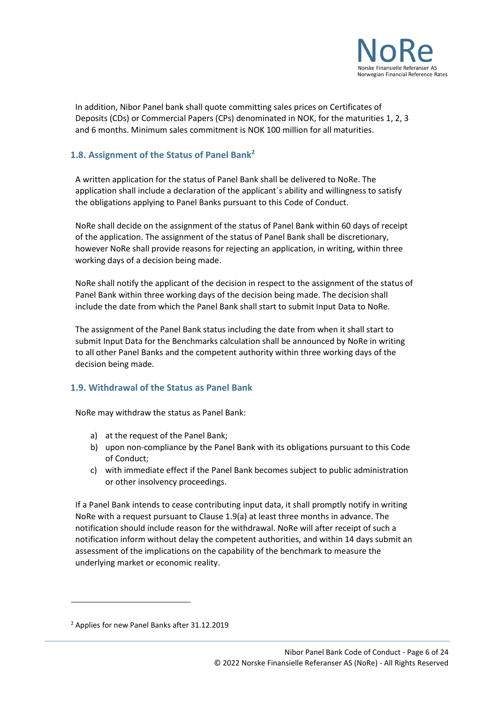

In addition, Nibor Panel bank shall quote committing sales prices on Certificates of Deposits (CDs) or Commercial Papers (CPs) denominated in NOK, for the maturities 1, 2, 3 and 6 months. Minimum sales commitment is NOK 100 million for all maturities.

## <span id="page-5-0"></span>**1.8. Assignment of the Status of Panel Bank<sup>2</sup>**

A written application for the status of Panel Bank shall be delivered to NoRe. The application shall include a declaration of the applicant´s ability and willingness to satisfy the obligations applying to Panel Banks pursuant to this Code of Conduct.

NoRe shall decide on the assignment of the status of Panel Bank within 60 days of receipt of the application. The assignment of the status of Panel Bank shall be discretionary, however NoRe shall provide reasons for rejecting an application, in writing, within three working days of a decision being made.

NoRe shall notify the applicant of the decision in respect to the assignment of the status of Panel Bank within three working days of the decision being made. The decision shall include the date from which the Panel Bank shall start to submit Input Data to NoRe.

The assignment of the Panel Bank status including the date from when it shall start to submit Input Data for the Benchmarks calculation shall be announced by NoRe in writing to all other Panel Banks and the competent authority within three working days of the decision being made.

#### <span id="page-5-1"></span>**1.9. Withdrawal of the Status as Panel Bank**

NoRe may withdraw the status as Panel Bank:

- a) at the request of the Panel Bank;
- b) upon non-compliance by the Panel Bank with its obligations pursuant to this Code of Conduct;
- c) with immediate effect if the Panel Bank becomes subject to public administration or other insolvency proceedings.

If a Panel Bank intends to cease contributing input data, it shall promptly notify in writing NoRe with a request pursuant to Clause 1.9(a) at least three months in advance. The notification should include reason for the withdrawal. NoRe will after receipt of such a notification inform without delay the competent authorities, and within 14 days submit an assessment of the implications on the capability of the benchmark to measure the underlying market or economic reality.

<sup>2</sup> Applies for new Panel Banks after 31.12.2019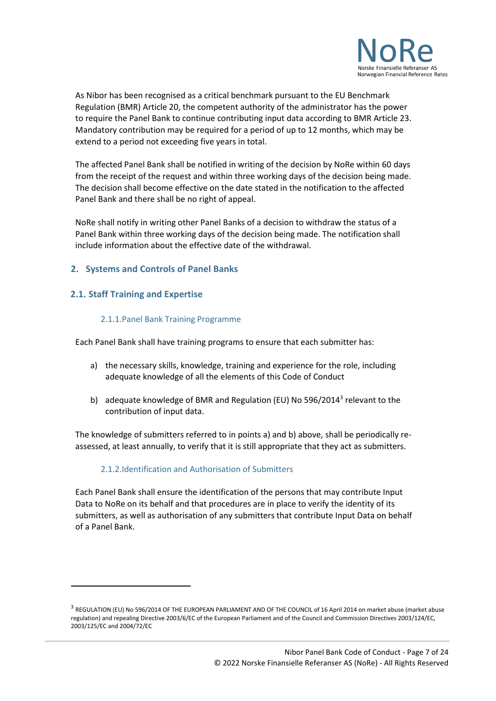

As Nibor has been recognised as a critical benchmark pursuant to the EU Benchmark Regulation (BMR) Article 20, the competent authority of the administrator has the power to require the Panel Bank to continue contributing input data according to BMR Article 23. Mandatory contribution may be required for a period of up to 12 months, which may be extend to a period not exceeding five years in total.

The affected Panel Bank shall be notified in writing of the decision by NoRe within 60 days from the receipt of the request and within three working days of the decision being made. The decision shall become effective on the date stated in the notification to the affected Panel Bank and there shall be no right of appeal.

NoRe shall notify in writing other Panel Banks of a decision to withdraw the status of a Panel Bank within three working days of the decision being made. The notification shall include information about the effective date of the withdrawal.

## <span id="page-6-0"></span>**2. Systems and Controls of Panel Banks**

## <span id="page-6-1"></span>**2.1. Staff Training and Expertise**

## 2.1.1.Panel Bank Training Programme

<span id="page-6-2"></span>Each Panel Bank shall have training programs to ensure that each submitter has:

- a) the necessary skills, knowledge, training and experience for the role, including adequate knowledge of all the elements of this Code of Conduct
- b) adequate knowledge of BMR and Regulation (EU) No 596/2014<sup>3</sup> relevant to the contribution of input data.

The knowledge of submitters referred to in points a) and b) above, shall be periodically reassessed, at least annually, to verify that it is still appropriate that they act as submitters.

## 2.1.2.Identification and Authorisation of Submitters

<span id="page-6-3"></span>Each Panel Bank shall ensure the identification of the persons that may contribute Input Data to NoRe on its behalf and that procedures are in place to verify the identity of its submitters, as well as authorisation of any submitters that contribute Input Data on behalf of a Panel Bank.

 $^3$  REGULATION (EU) No 596/2014 OF THE EUROPEAN PARLIAMENT AND OF THE COUNCIL of 16 April 2014 on market abuse (market abuse regulation) and repealing Directive 2003/6/EC of the European Parliament and of the Council and Commission Directives 2003/124/EC, 2003/125/EC and 2004/72/EC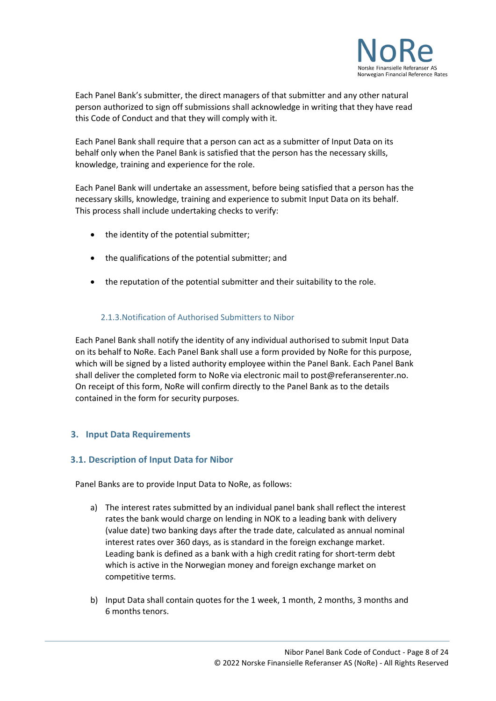

Each Panel Bank's submitter, the direct managers of that submitter and any other natural person authorized to sign off submissions shall acknowledge in writing that they have read this Code of Conduct and that they will comply with it.

Each Panel Bank shall require that a person can act as a submitter of Input Data on its behalf only when the Panel Bank is satisfied that the person has the necessary skills, knowledge, training and experience for the role.

Each Panel Bank will undertake an assessment, before being satisfied that a person has the necessary skills, knowledge, training and experience to submit Input Data on its behalf. This process shall include undertaking checks to verify:

- the identity of the potential submitter;
- the qualifications of the potential submitter; and
- the reputation of the potential submitter and their suitability to the role.

## 2.1.3.Notification of Authorised Submitters to Nibor

<span id="page-7-0"></span>Each Panel Bank shall notify the identity of any individual authorised to submit Input Data on its behalf to NoRe. Each Panel Bank shall use a form provided by NoRe for this purpose, which will be signed by a listed authority employee within the Panel Bank. Each Panel Bank shall deliver the completed form to NoRe via electronic mail to post@referanserenter.no. On receipt of this form, NoRe will confirm directly to the Panel Bank as to the details contained in the form for security purposes.

## <span id="page-7-1"></span>**3. Input Data Requirements**

## <span id="page-7-2"></span>**3.1. Description of Input Data for Nibor**

Panel Banks are to provide Input Data to NoRe, as follows:

- a) The interest rates submitted by an individual panel bank shall reflect the interest rates the bank would charge on lending in NOK to a leading bank with delivery (value date) two banking days after the trade date, calculated as annual nominal interest rates over 360 days, as is standard in the foreign exchange market. Leading bank is defined as a bank with a high credit rating for short-term debt which is active in the Norwegian money and foreign exchange market on competitive terms.
- b) Input Data shall contain quotes for the 1 week, 1 month, 2 months, 3 months and 6 months tenors.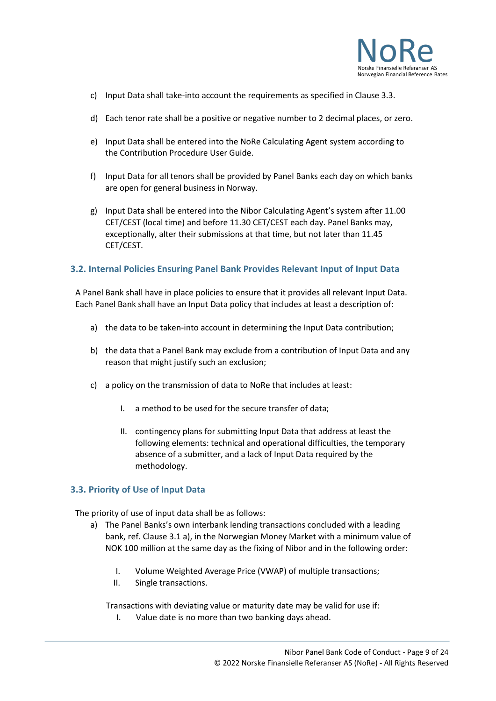

- c) Input Data shall take-into account the requirements as specified in Clause 3.3.
- d) Each tenor rate shall be a positive or negative number to 2 decimal places, or zero.
- e) Input Data shall be entered into the NoRe Calculating Agent system according to the Contribution Procedure User Guide.
- f) Input Data for all tenors shall be provided by Panel Banks each day on which banks are open for general business in Norway.
- g) Input Data shall be entered into the Nibor Calculating Agent's system after 11.00 CET/CEST (local time) and before 11.30 CET/CEST each day. Panel Banks may, exceptionally, alter their submissions at that time, but not later than 11.45 CET/CEST.

#### <span id="page-8-0"></span>**3.2. Internal Policies Ensuring Panel Bank Provides Relevant Input of Input Data**

A Panel Bank shall have in place policies to ensure that it provides all relevant Input Data. Each Panel Bank shall have an Input Data policy that includes at least a description of:

- a) the data to be taken-into account in determining the Input Data contribution;
- b) the data that a Panel Bank may exclude from a contribution of Input Data and any reason that might justify such an exclusion;
- c) a policy on the transmission of data to NoRe that includes at least:
	- I. a method to be used for the secure transfer of data;
	- II. contingency plans for submitting Input Data that address at least the following elements: technical and operational difficulties, the temporary absence of a submitter, and a lack of Input Data required by the methodology.

#### <span id="page-8-1"></span>**3.3. Priority of Use of Input Data**

The priority of use of input data shall be as follows:

- a) The Panel Banks's own interbank lending transactions concluded with a leading bank, ref. Clause 3.1 a), in the Norwegian Money Market with a minimum value of NOK 100 million at the same day as the fixing of Nibor and in the following order:
	- I. Volume Weighted Average Price (VWAP) of multiple transactions;
	- II. Single transactions.

Transactions with deviating value or maturity date may be valid for use if:

I. Value date is no more than two banking days ahead.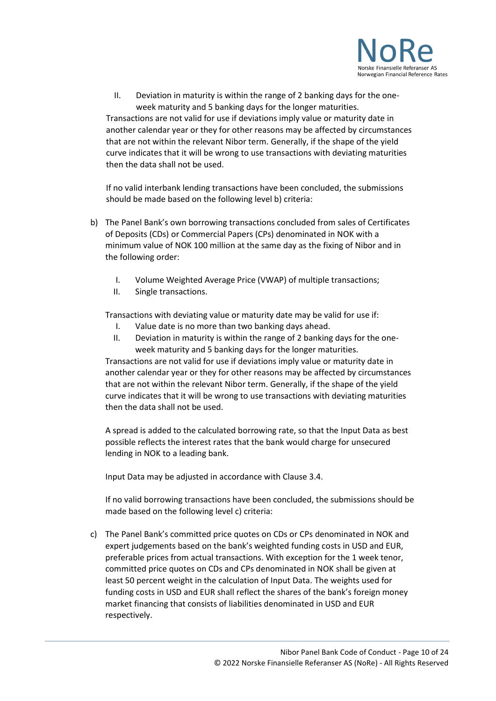

II. Deviation in maturity is within the range of 2 banking days for the oneweek maturity and 5 banking days for the longer maturities. Transactions are not valid for use if deviations imply value or maturity date in another calendar year or they for other reasons may be affected by circumstances that are not within the relevant Nibor term. Generally, if the shape of the yield curve indicates that it will be wrong to use transactions with deviating maturities then the data shall not be used.

If no valid interbank lending transactions have been concluded, the submissions should be made based on the following level b) criteria:

- b) The Panel Bank's own borrowing transactions concluded from sales of Certificates of Deposits (CDs) or Commercial Papers (CPs) denominated in NOK with a minimum value of NOK 100 million at the same day as the fixing of Nibor and in the following order:
	- I. Volume Weighted Average Price (VWAP) of multiple transactions;
	- II. Single transactions.

Transactions with deviating value or maturity date may be valid for use if:

- I. Value date is no more than two banking days ahead.
- II. Deviation in maturity is within the range of 2 banking days for the oneweek maturity and 5 banking days for the longer maturities.

Transactions are not valid for use if deviations imply value or maturity date in another calendar year or they for other reasons may be affected by circumstances that are not within the relevant Nibor term. Generally, if the shape of the yield curve indicates that it will be wrong to use transactions with deviating maturities then the data shall not be used.

A spread is added to the calculated borrowing rate, so that the Input Data as best possible reflects the interest rates that the bank would charge for unsecured lending in NOK to a leading bank.

Input Data may be adjusted in accordance with Clause 3.4.

If no valid borrowing transactions have been concluded, the submissions should be made based on the following level c) criteria:

c) The Panel Bank's committed price quotes on CDs or CPs denominated in NOK and expert judgements based on the bank's weighted funding costs in USD and EUR, preferable prices from actual transactions. With exception for the 1 week tenor, committed price quotes on CDs and CPs denominated in NOK shall be given at least 50 percent weight in the calculation of Input Data. The weights used for funding costs in USD and EUR shall reflect the shares of the bank's foreign money market financing that consists of liabilities denominated in USD and EUR respectively.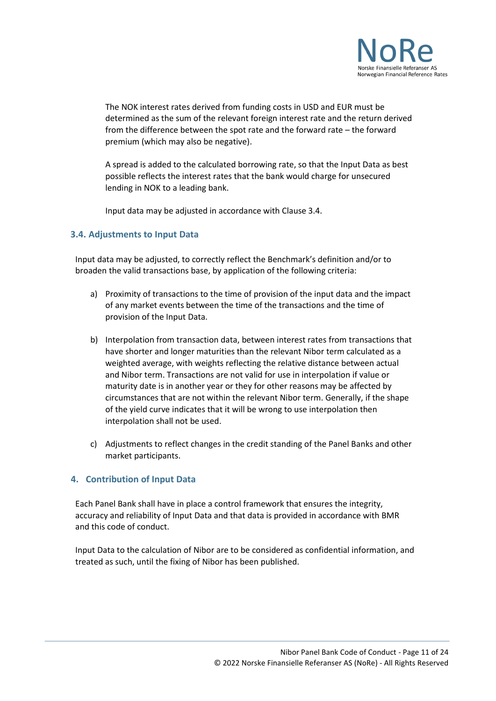

The NOK interest rates derived from funding costs in USD and EUR must be determined as the sum of the relevant foreign interest rate and the return derived from the difference between the spot rate and the forward rate – the forward premium (which may also be negative).

A spread is added to the calculated borrowing rate, so that the Input Data as best possible reflects the interest rates that the bank would charge for unsecured lending in NOK to a leading bank.

Input data may be adjusted in accordance with Clause 3.4.

## <span id="page-10-0"></span>**3.4. Adjustments to Input Data**

Input data may be adjusted, to correctly reflect the Benchmark's definition and/or to broaden the valid transactions base, by application of the following criteria:

- a) Proximity of transactions to the time of provision of the input data and the impact of any market events between the time of the transactions and the time of provision of the Input Data.
- b) Interpolation from transaction data, between interest rates from transactions that have shorter and longer maturities than the relevant Nibor term calculated as a weighted average, with weights reflecting the relative distance between actual and Nibor term. Transactions are not valid for use in interpolation if value or maturity date is in another year or they for other reasons may be affected by circumstances that are not within the relevant Nibor term. Generally, if the shape of the yield curve indicates that it will be wrong to use interpolation then interpolation shall not be used.
- c) Adjustments to reflect changes in the credit standing of the Panel Banks and other market participants.

## <span id="page-10-1"></span>**4. Contribution of Input Data**

Each Panel Bank shall have in place a control framework that ensures the integrity, accuracy and reliability of Input Data and that data is provided in accordance with BMR and this code of conduct.

Input Data to the calculation of Nibor are to be considered as confidential information, and treated as such, until the fixing of Nibor has been published.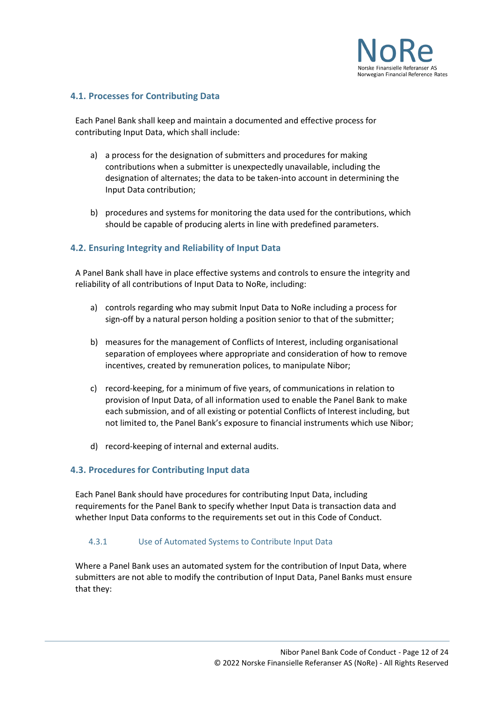

## <span id="page-11-0"></span>**4.1. Processes for Contributing Data**

Each Panel Bank shall keep and maintain a documented and effective process for contributing Input Data, which shall include:

- a) a process for the designation of submitters and procedures for making contributions when a submitter is unexpectedly unavailable, including the designation of alternates; the data to be taken-into account in determining the Input Data contribution;
- b) procedures and systems for monitoring the data used for the contributions, which should be capable of producing alerts in line with predefined parameters.

## <span id="page-11-1"></span>**4.2. Ensuring Integrity and Reliability of Input Data**

A Panel Bank shall have in place effective systems and controls to ensure the integrity and reliability of all contributions of Input Data to NoRe, including:

- a) controls regarding who may submit Input Data to NoRe including a process for sign-off by a natural person holding a position senior to that of the submitter;
- b) measures for the management of Conflicts of Interest, including organisational separation of employees where appropriate and consideration of how to remove incentives, created by remuneration polices, to manipulate Nibor;
- c) record-keeping, for a minimum of five years, of communications in relation to provision of Input Data, of all information used to enable the Panel Bank to make each submission, and of all existing or potential Conflicts of Interest including, but not limited to, the Panel Bank's exposure to financial instruments which use Nibor;
- d) record-keeping of internal and external audits.

#### <span id="page-11-2"></span>**4.3. Procedures for Contributing Input data**

Each Panel Bank should have procedures for contributing Input Data, including requirements for the Panel Bank to specify whether Input Data is transaction data and whether Input Data conforms to the requirements set out in this Code of Conduct.

#### <span id="page-11-3"></span>4.3.1 Use of Automated Systems to Contribute Input Data

Where a Panel Bank uses an automated system for the contribution of Input Data, where submitters are not able to modify the contribution of Input Data, Panel Banks must ensure that they: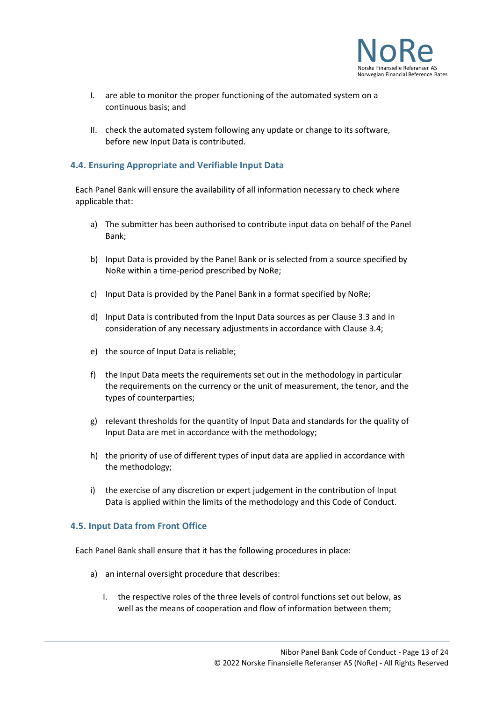

- I. are able to monitor the proper functioning of the automated system on a continuous basis; and
- II. check the automated system following any update or change to its software, before new Input Data is contributed.

## <span id="page-12-0"></span>**4.4. Ensuring Appropriate and Verifiable Input Data**

Each Panel Bank will ensure the availability of all information necessary to check where applicable that:

- a) The submitter has been authorised to contribute input data on behalf of the Panel Bank;
- b) Input Data is provided by the Panel Bank or is selected from a source specified by NoRe within a time-period prescribed by NoRe;
- c) Input Data is provided by the Panel Bank in a format specified by NoRe;
- d) Input Data is contributed from the Input Data sources as per Clause 3.3 and in consideration of any necessary adjustments in accordance with Clause 3.4;
- e) the source of Input Data is reliable;
- f) the Input Data meets the requirements set out in the methodology in particular the requirements on the currency or the unit of measurement, the tenor, and the types of counterparties;
- g) relevant thresholds for the quantity of Input Data and standards for the quality of Input Data are met in accordance with the methodology;
- h) the priority of use of different types of input data are applied in accordance with the methodology;
- i) the exercise of any discretion or expert judgement in the contribution of Input Data is applied within the limits of the methodology and this Code of Conduct.

#### <span id="page-12-1"></span>**4.5. Input Data from Front Office**

Each Panel Bank shall ensure that it has the following procedures in place:

- a) an internal oversight procedure that describes:
	- I. the respective roles of the three levels of control functions set out below, as well as the means of cooperation and flow of information between them;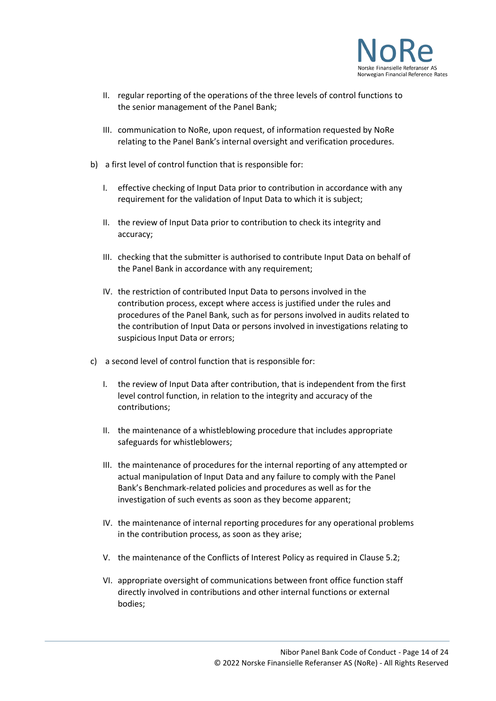

- II. regular reporting of the operations of the three levels of control functions to the senior management of the Panel Bank;
- III. communication to NoRe, upon request, of information requested by NoRe relating to the Panel Bank's internal oversight and verification procedures.
- b) a first level of control function that is responsible for:
	- I. effective checking of Input Data prior to contribution in accordance with any requirement for the validation of Input Data to which it is subject;
	- II. the review of Input Data prior to contribution to check its integrity and accuracy;
	- III. checking that the submitter is authorised to contribute Input Data on behalf of the Panel Bank in accordance with any requirement;
	- IV. the restriction of contributed Input Data to persons involved in the contribution process, except where access is justified under the rules and procedures of the Panel Bank, such as for persons involved in audits related to the contribution of Input Data or persons involved in investigations relating to suspicious Input Data or errors;
- c) a second level of control function that is responsible for:
	- I. the review of Input Data after contribution, that is independent from the first level control function, in relation to the integrity and accuracy of the contributions;
	- II. the maintenance of a whistleblowing procedure that includes appropriate safeguards for whistleblowers;
	- III. the maintenance of procedures for the internal reporting of any attempted or actual manipulation of Input Data and any failure to comply with the Panel Bank's Benchmark-related policies and procedures as well as for the investigation of such events as soon as they become apparent;
	- IV. the maintenance of internal reporting procedures for any operational problems in the contribution process, as soon as they arise;
	- V. the maintenance of the Conflicts of Interest Policy as required in Clause 5.2;
	- VI. appropriate oversight of communications between front office function staff directly involved in contributions and other internal functions or external bodies;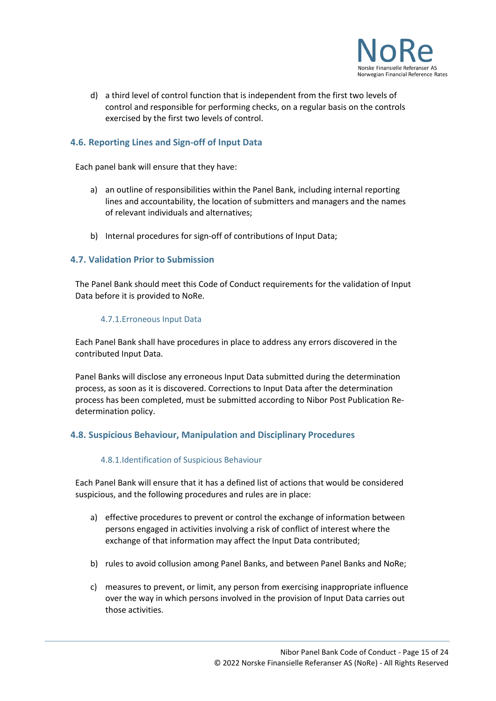

d) a third level of control function that is independent from the first two levels of control and responsible for performing checks, on a regular basis on the controls exercised by the first two levels of control.

## <span id="page-14-0"></span>**4.6. Reporting Lines and Sign-off of Input Data**

Each panel bank will ensure that they have:

- a) an outline of responsibilities within the Panel Bank, including internal reporting lines and accountability, the location of submitters and managers and the names of relevant individuals and alternatives;
- b) Internal procedures for sign-off of contributions of Input Data;

## <span id="page-14-1"></span>**4.7. Validation Prior to Submission**

The Panel Bank should meet this Code of Conduct requirements for the validation of Input Data before it is provided to NoRe.

#### 4.7.1.Erroneous Input Data

<span id="page-14-2"></span>Each Panel Bank shall have procedures in place to address any errors discovered in the contributed Input Data.

Panel Banks will disclose any erroneous Input Data submitted during the determination process, as soon as it is discovered. Corrections to Input Data after the determination process has been completed, must be submitted according to Nibor Post Publication Redetermination policy.

## <span id="page-14-3"></span>**4.8. Suspicious Behaviour, Manipulation and Disciplinary Procedures**

#### 4.8.1.Identification of Suspicious Behaviour

<span id="page-14-4"></span>Each Panel Bank will ensure that it has a defined list of actions that would be considered suspicious, and the following procedures and rules are in place:

- a) effective procedures to prevent or control the exchange of information between persons engaged in activities involving a risk of conflict of interest where the exchange of that information may affect the Input Data contributed;
- b) rules to avoid collusion among Panel Banks, and between Panel Banks and NoRe;
- c) measures to prevent, or limit, any person from exercising inappropriate influence over the way in which persons involved in the provision of Input Data carries out those activities.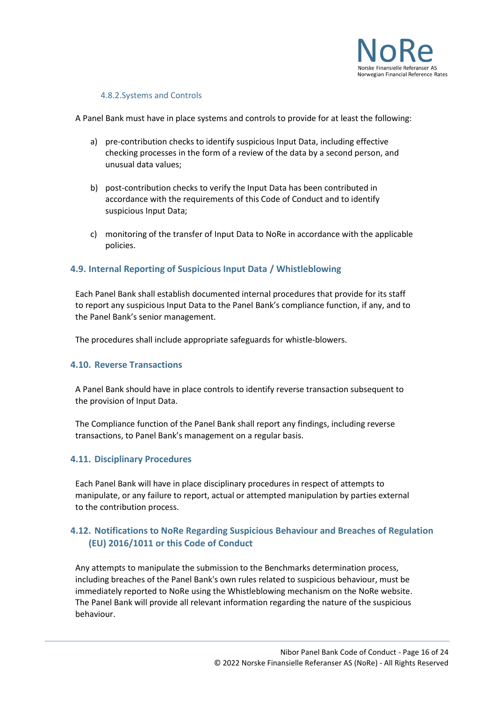

#### 4.8.2.Systems and Controls

<span id="page-15-0"></span>A Panel Bank must have in place systems and controls to provide for at least the following:

- a) pre-contribution checks to identify suspicious Input Data, including effective checking processes in the form of a review of the data by a second person, and unusual data values;
- b) post-contribution checks to verify the Input Data has been contributed in accordance with the requirements of this Code of Conduct and to identify suspicious Input Data;
- c) monitoring of the transfer of Input Data to NoRe in accordance with the applicable policies.

## <span id="page-15-1"></span>**4.9. Internal Reporting of Suspicious Input Data / Whistleblowing**

Each Panel Bank shall establish documented internal procedures that provide for its staff to report any suspicious Input Data to the Panel Bank's compliance function, if any, and to the Panel Bank's senior management.

The procedures shall include appropriate safeguards for whistle-blowers.

#### <span id="page-15-2"></span>**4.10. Reverse Transactions**

A Panel Bank should have in place controls to identify reverse transaction subsequent to the provision of Input Data.

The Compliance function of the Panel Bank shall report any findings, including reverse transactions, to Panel Bank's management on a regular basis.

#### <span id="page-15-3"></span>**4.11. Disciplinary Procedures**

Each Panel Bank will have in place disciplinary procedures in respect of attempts to manipulate, or any failure to report, actual or attempted manipulation by parties external to the contribution process.

## <span id="page-15-4"></span>**4.12. Notifications to NoRe Regarding Suspicious Behaviour and Breaches of Regulation (EU) 2016/1011 or this Code of Conduct**

Any attempts to manipulate the submission to the Benchmarks determination process, including breaches of the Panel Bank's own rules related to suspicious behaviour, must be immediately reported to NoRe using the Whistleblowing mechanism on the NoRe website. The Panel Bank will provide all relevant information regarding the nature of the suspicious behaviour.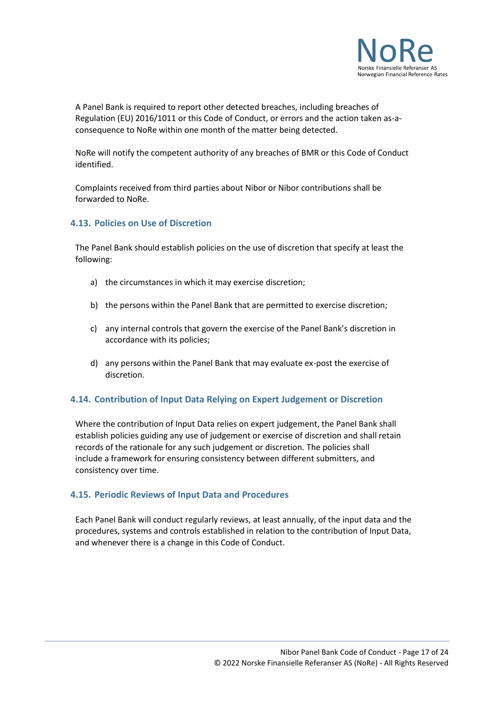

A Panel Bank is required to report other detected breaches, including breaches of Regulation (EU) 2016/1011 or this Code of Conduct, or errors and the action taken as-aconsequence to NoRe within one month of the matter being detected.

NoRe will notify the competent authority of any breaches of BMR or this Code of Conduct identified.

Complaints received from third parties about Nibor or Nibor contributions shall be forwarded to NoRe.

## <span id="page-16-0"></span>**4.13. Policies on Use of Discretion**

The Panel Bank should establish policies on the use of discretion that specify at least the following:

- a) the circumstances in which it may exercise discretion;
- b) the persons within the Panel Bank that are permitted to exercise discretion;
- c) any internal controls that govern the exercise of the Panel Bank's discretion in accordance with its policies;
- d) any persons within the Panel Bank that may evaluate ex-post the exercise of discretion.

#### <span id="page-16-1"></span>**4.14. Contribution of Input Data Relying on Expert Judgement or Discretion**

Where the contribution of Input Data relies on expert judgement, the Panel Bank shall establish policies guiding any use of judgement or exercise of discretion and shall retain records of the rationale for any such judgement or discretion. The policies shall include a framework for ensuring consistency between different submitters, and consistency over time.

#### <span id="page-16-2"></span>**4.15. Periodic Reviews of Input Data and Procedures**

Each Panel Bank will conduct regularly reviews, at least annually, of the input data and the procedures, systems and controls established in relation to the contribution of Input Data, and whenever there is a change in this Code of Conduct.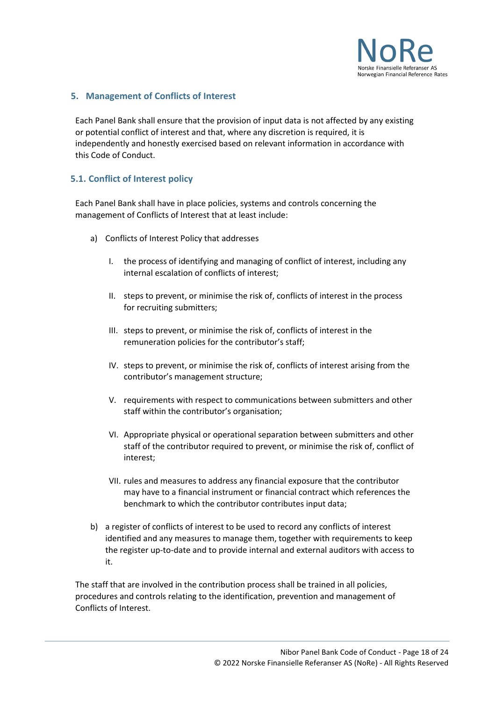

## <span id="page-17-0"></span>**5. Management of Conflicts of Interest**

Each Panel Bank shall ensure that the provision of input data is not affected by any existing or potential conflict of interest and that, where any discretion is required, it is independently and honestly exercised based on relevant information in accordance with this Code of Conduct.

## <span id="page-17-1"></span>**5.1. Conflict of Interest policy**

Each Panel Bank shall have in place policies, systems and controls concerning the management of Conflicts of Interest that at least include:

- a) Conflicts of Interest Policy that addresses
	- I. the process of identifying and managing of conflict of interest, including any internal escalation of conflicts of interest;
	- II. steps to prevent, or minimise the risk of, conflicts of interest in the process for recruiting submitters;
	- III. steps to prevent, or minimise the risk of, conflicts of interest in the remuneration policies for the contributor's staff;
	- IV. steps to prevent, or minimise the risk of, conflicts of interest arising from the contributor's management structure;
	- V. requirements with respect to communications between submitters and other staff within the contributor's organisation;
	- VI. Appropriate physical or operational separation between submitters and other staff of the contributor required to prevent, or minimise the risk of, conflict of interest;
	- VII. rules and measures to address any financial exposure that the contributor may have to a financial instrument or financial contract which references the benchmark to which the contributor contributes input data;
- b) a register of conflicts of interest to be used to record any conflicts of interest identified and any measures to manage them, together with requirements to keep the register up-to-date and to provide internal and external auditors with access to it.

The staff that are involved in the contribution process shall be trained in all policies, procedures and controls relating to the identification, prevention and management of Conflicts of Interest.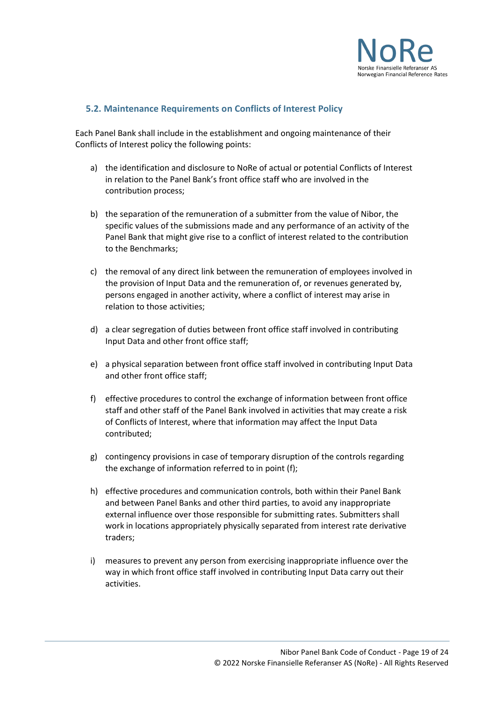

## <span id="page-18-0"></span>**5.2. Maintenance Requirements on Conflicts of Interest Policy**

Each Panel Bank shall include in the establishment and ongoing maintenance of their Conflicts of Interest policy the following points:

- a) the identification and disclosure to NoRe of actual or potential Conflicts of Interest in relation to the Panel Bank's front office staff who are involved in the contribution process;
- b) the separation of the remuneration of a submitter from the value of Nibor, the specific values of the submissions made and any performance of an activity of the Panel Bank that might give rise to a conflict of interest related to the contribution to the Benchmarks;
- c) the removal of any direct link between the remuneration of employees involved in the provision of Input Data and the remuneration of, or revenues generated by, persons engaged in another activity, where a conflict of interest may arise in relation to those activities;
- d) a clear segregation of duties between front office staff involved in contributing Input Data and other front office staff;
- e) a physical separation between front office staff involved in contributing Input Data and other front office staff;
- f) effective procedures to control the exchange of information between front office staff and other staff of the Panel Bank involved in activities that may create a risk of Conflicts of Interest, where that information may affect the Input Data contributed;
- g) contingency provisions in case of temporary disruption of the controls regarding the exchange of information referred to in point (f);
- h) effective procedures and communication controls, both within their Panel Bank and between Panel Banks and other third parties, to avoid any inappropriate external influence over those responsible for submitting rates. Submitters shall work in locations appropriately physically separated from interest rate derivative traders;
- i) measures to prevent any person from exercising inappropriate influence over the way in which front office staff involved in contributing Input Data carry out their activities.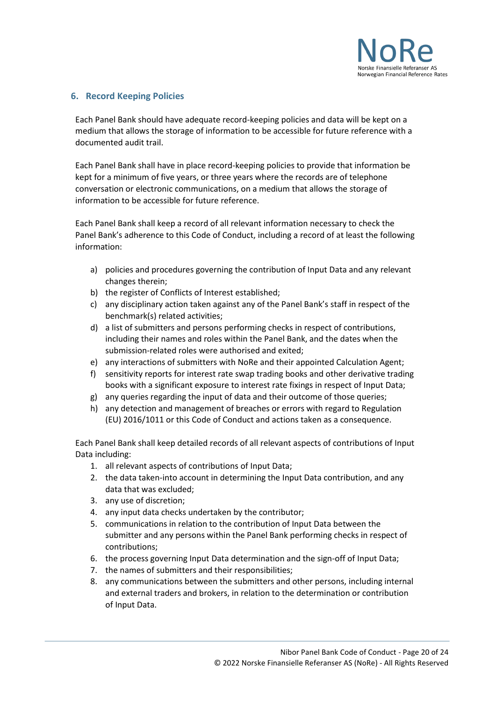

## <span id="page-19-0"></span>**6. Record Keeping Policies**

Each Panel Bank should have adequate record-keeping policies and data will be kept on a medium that allows the storage of information to be accessible for future reference with a documented audit trail.

Each Panel Bank shall have in place record-keeping policies to provide that information be kept for a minimum of five years, or three years where the records are of telephone conversation or electronic communications, on a medium that allows the storage of information to be accessible for future reference.

Each Panel Bank shall keep a record of all relevant information necessary to check the Panel Bank's adherence to this Code of Conduct, including a record of at least the following information:

- a) policies and procedures governing the contribution of Input Data and any relevant changes therein;
- b) the register of Conflicts of Interest established;
- c) any disciplinary action taken against any of the Panel Bank's staff in respect of the benchmark(s) related activities;
- d) a list of submitters and persons performing checks in respect of contributions, including their names and roles within the Panel Bank, and the dates when the submission-related roles were authorised and exited;
- e) any interactions of submitters with NoRe and their appointed Calculation Agent;
- f) sensitivity reports for interest rate swap trading books and other derivative trading books with a significant exposure to interest rate fixings in respect of Input Data;
- g) any queries regarding the input of data and their outcome of those queries;
- h) any detection and management of breaches or errors with regard to Regulation (EU) 2016/1011 or this Code of Conduct and actions taken as a consequence.

Each Panel Bank shall keep detailed records of all relevant aspects of contributions of Input Data including:

- 1. all relevant aspects of contributions of Input Data;
- 2. the data taken-into account in determining the Input Data contribution, and any data that was excluded;
- 3. any use of discretion;
- 4. any input data checks undertaken by the contributor;
- 5. communications in relation to the contribution of Input Data between the submitter and any persons within the Panel Bank performing checks in respect of contributions;
- 6. the process governing Input Data determination and the sign-off of Input Data;
- 7. the names of submitters and their responsibilities;
- 8. any communications between the submitters and other persons, including internal and external traders and brokers, in relation to the determination or contribution of Input Data.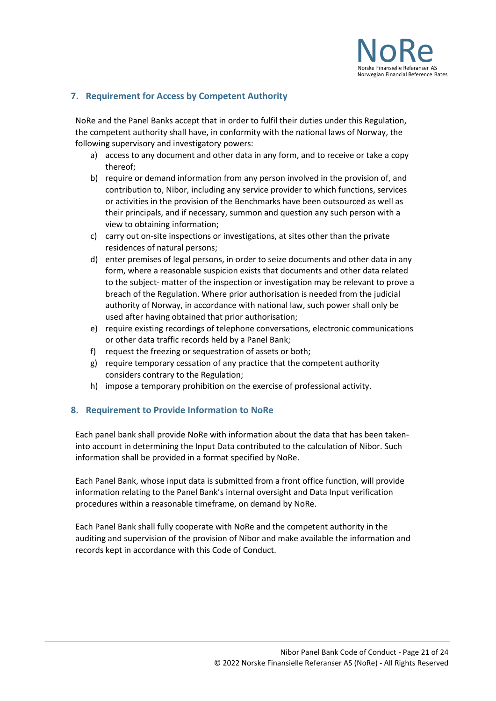

## <span id="page-20-0"></span>**7. Requirement for Access by Competent Authority**

NoRe and the Panel Banks accept that in order to fulfil their duties under this Regulation, the competent authority shall have, in conformity with the national laws of Norway, the following supervisory and investigatory powers:

- a) access to any document and other data in any form, and to receive or take a copy thereof;
- b) require or demand information from any person involved in the provision of, and contribution to, Nibor, including any service provider to which functions, services or activities in the provision of the Benchmarks have been outsourced as well as their principals, and if necessary, summon and question any such person with a view to obtaining information;
- c) carry out on-site inspections or investigations, at sites other than the private residences of natural persons;
- d) enter premises of legal persons, in order to seize documents and other data in any form, where a reasonable suspicion exists that documents and other data related to the subject- matter of the inspection or investigation may be relevant to prove a breach of the Regulation. Where prior authorisation is needed from the judicial authority of Norway, in accordance with national law, such power shall only be used after having obtained that prior authorisation;
- e) require existing recordings of telephone conversations, electronic communications or other data traffic records held by a Panel Bank;
- f) request the freezing or sequestration of assets or both;
- g) require temporary cessation of any practice that the competent authority considers contrary to the Regulation;
- h) impose a temporary prohibition on the exercise of professional activity.

## <span id="page-20-1"></span>**8. Requirement to Provide Information to NoRe**

Each panel bank shall provide NoRe with information about the data that has been takeninto account in determining the Input Data contributed to the calculation of Nibor. Such information shall be provided in a format specified by NoRe.

Each Panel Bank, whose input data is submitted from a front office function, will provide information relating to the Panel Bank's internal oversight and Data Input verification procedures within a reasonable timeframe, on demand by NoRe.

Each Panel Bank shall fully cooperate with NoRe and the competent authority in the auditing and supervision of the provision of Nibor and make available the information and records kept in accordance with this Code of Conduct.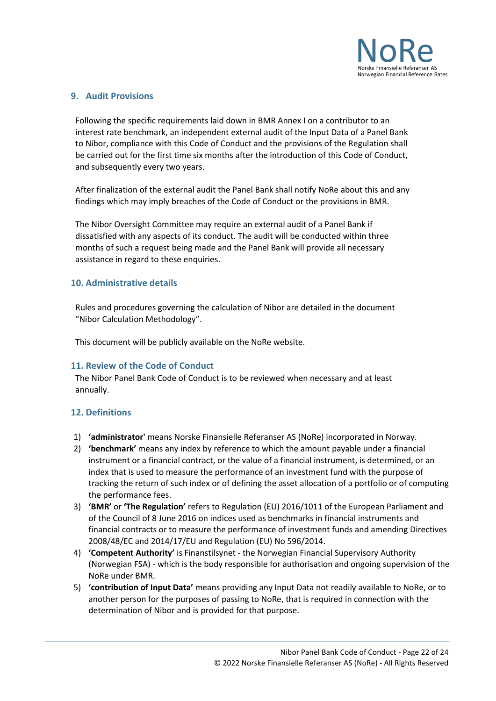

## <span id="page-21-0"></span>**9. Audit Provisions**

Following the specific requirements laid down in BMR Annex I on a contributor to an interest rate benchmark, an independent external audit of the Input Data of a Panel Bank to Nibor, compliance with this Code of Conduct and the provisions of the Regulation shall be carried out for the first time six months after the introduction of this Code of Conduct, and subsequently every two years.

After finalization of the external audit the Panel Bank shall notify NoRe about this and any findings which may imply breaches of the Code of Conduct or the provisions in BMR.

The Nibor Oversight Committee may require an external audit of a Panel Bank if dissatisfied with any aspects of its conduct. The audit will be conducted within three months of such a request being made and the Panel Bank will provide all necessary assistance in regard to these enquiries.

## <span id="page-21-1"></span>**10. Administrative details**

Rules and procedures governing the calculation of Nibor are detailed in the document "Nibor Calculation Methodology".

This document will be publicly available on the NoRe website.

#### <span id="page-21-2"></span>**11. Review of the Code of Conduct**

The Nibor Panel Bank Code of Conduct is to be reviewed when necessary and at least annually.

## <span id="page-21-3"></span>**12. Definitions**

- 1) **'administrator'** means Norske Finansielle Referanser AS (NoRe) incorporated in Norway.
- 2) **'benchmark'** means any index by reference to which the amount payable under a financial instrument or a financial contract, or the value of a financial instrument, is determined, or an index that is used to measure the performance of an investment fund with the purpose of tracking the return of such index or of defining the asset allocation of a portfolio or of computing the performance fees.
- 3) **'BMR'** or **'The Regulation'** refers to Regulation (EU) 2016/1011 of the European Parliament and of the Council of 8 June 2016 on indices used as benchmarks in financial instruments and financial contracts or to measure the performance of investment funds and amending Directives 2008/48/EC and 2014/17/EU and Regulation (EU) No 596/2014.
- 4) **'Competent Authority'** is Finanstilsynet the Norwegian Financial Supervisory Authority (Norwegian FSA) - which is the body responsible for authorisation and ongoing supervision of the NoRe under BMR.
- 5) **'contribution of Input Data'** means providing any Input Data not readily available to NoRe, or to another person for the purposes of passing to NoRe, that is required in connection with the determination of Nibor and is provided for that purpose.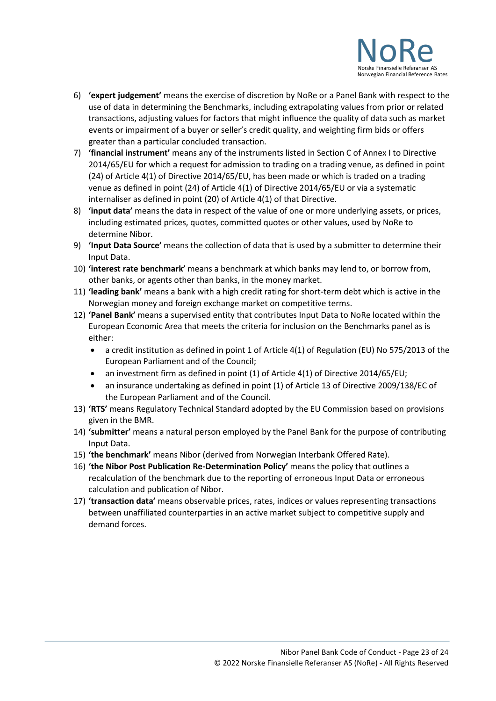

- 6) **'expert judgement'** means the exercise of discretion by NoRe or a Panel Bank with respect to the use of data in determining the Benchmarks, including extrapolating values from prior or related transactions, adjusting values for factors that might influence the quality of data such as market events or impairment of a buyer or seller's credit quality, and weighting firm bids or offers greater than a particular concluded transaction.
- 7) **'financial instrument'** means any of the instruments listed in Section C of Annex I to Directive 2014/65/EU for which a request for admission to trading on a trading venue, as defined in point (24) of Article 4(1) of Directive 2014/65/EU, has been made or which is traded on a trading venue as defined in point (24) of Article 4(1) of Directive 2014/65/EU or via a systematic internaliser as defined in point (20) of Article 4(1) of that Directive.
- 8) **'input data'** means the data in respect of the value of one or more underlying assets, or prices, including estimated prices, quotes, committed quotes or other values, used by NoRe to determine Nibor.
- 9) **'Input Data Source'** means the collection of data that is used by a submitter to determine their Input Data.
- 10) **'interest rate benchmark'** means a benchmark at which banks may lend to, or borrow from, other banks, or agents other than banks, in the money market.
- 11) **'leading bank'** means a bank with a high credit rating for short-term debt which is active in the Norwegian money and foreign exchange market on competitive terms.
- 12) **'Panel Bank'** means a supervised entity that contributes Input Data to NoRe located within the European Economic Area that meets the criteria for inclusion on the Benchmarks panel as is either:
	- a credit institution as defined in point 1 of Article 4(1) of Regulation (EU) No 575/2013 of the European Parliament and of the Council;
	- an investment firm as defined in point (1) of Article 4(1) of Directive 2014/65/EU;
	- an insurance undertaking as defined in point (1) of Article 13 of Directive 2009/138/EC of the European Parliament and of the Council.
- 13) **'RTS'** means Regulatory Technical Standard adopted by the EU Commission based on provisions given in the BMR.
- 14) **'submitter'** means a natural person employed by the Panel Bank for the purpose of contributing Input Data.
- 15) **'the benchmark'** means Nibor (derived from Norwegian Interbank Offered Rate).
- 16) **'the Nibor Post Publication Re-Determination Policy'** means the policy that outlines a recalculation of the benchmark due to the reporting of erroneous Input Data or erroneous calculation and publication of Nibor.
- 17) **'transaction data'** means observable prices, rates, indices or values representing transactions between unaffiliated counterparties in an active market subject to competitive supply and demand forces.